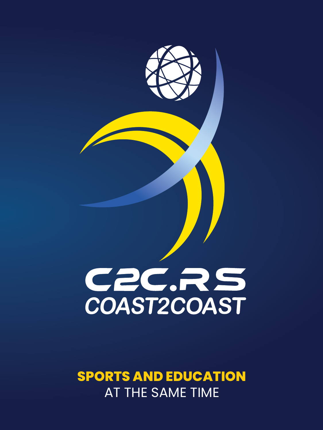

# COAST2COAST

# **SPORTS AND EDUCATION** AT THE SAME TIME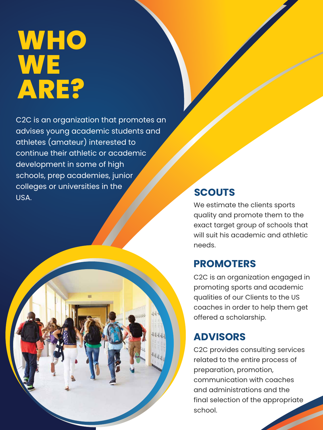# **WHO WE ARE?**

C2C is an organization that promotes an advises young academic students and athletes (amateur) interested to continue their athletic or academic development in some of high schools, prep academies, junior colleges or universities in the USA.

We estimate the clients sports quality and promote them to the exact target group of schools that will suit his academic and athletic needs.

#### **SCOUTS**

C2C is an organization engaged in promoting sports and academic qualities of our Clients to the US



coaches in order to help them get offered a scholarship.

### **PROMOTERS**

C2C provides consulting services related to the entire process of preparation, promotion, communication with coaches and administrations and the final selection of the appropriate school.

#### **ADVISORS**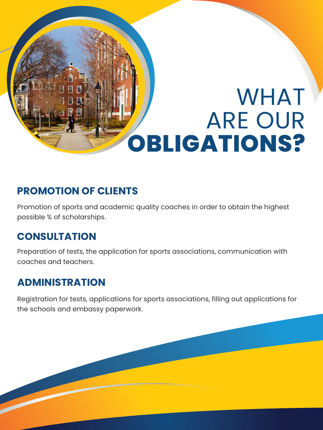### **PROMOTION OF CLIENTS**

### **CONSULTATION**

### **ADMINISTRATION**

Promotion of sports and academic quality coaches in order to obtain the highest possible % of scholarships.

Preparation of tests, the application for sports associations, communication with coaches and teachers.

Registration for tests, applications for sports associations, filling out applications for the schools and embassy paperwork.

# WHAT ARE OUR **OBLIGATIONS?**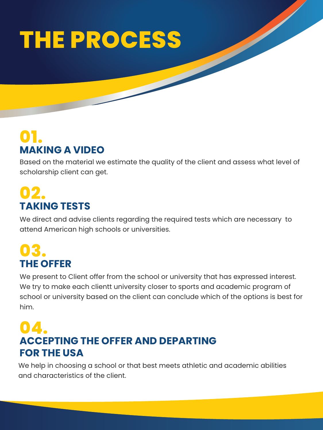Based on the material we estimate the quality of the client and assess what level of scholarship client can get.

We direct and advise clients regarding the required tests which are necessary to attend American high schools or universities.

## **MAKING A VIDEO 01.**

## **TAKING TESTS 02.**

# **THE OFFER 03.**

We present to Client offer from the school or university that has expressed interest. We try to make each clientt university closer to sports and academic program of school or university based on the client can conclude which of the options is best for

him.

## **ACCEPTING THE OFFER AND DEPARTING FOR THE USA 04.**

We help in choosing a school or that best meets athletic and academic abilities and characteristics of the client.

# **THE PROCESS**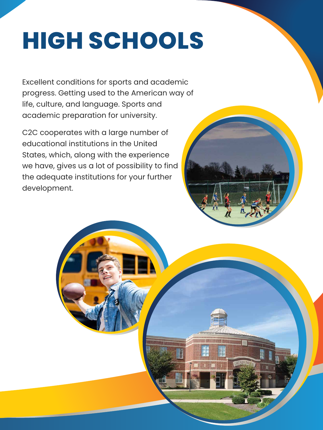# **HIGH SCHOOLS**

Excellent conditions for sports and academic progress. Getting used to the American way of life, culture, and language. Sports and academic preparation for university.

C2C cooperates with a large number of educational institutions in the United States, which, along with the experience we have, gives us a lot of possibility to find the adequate institutions for your further development.

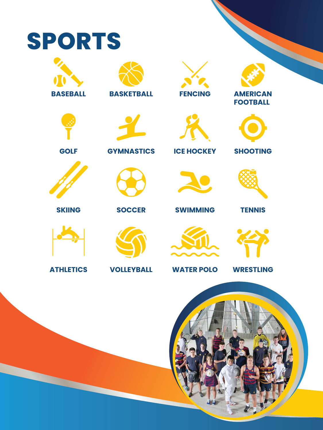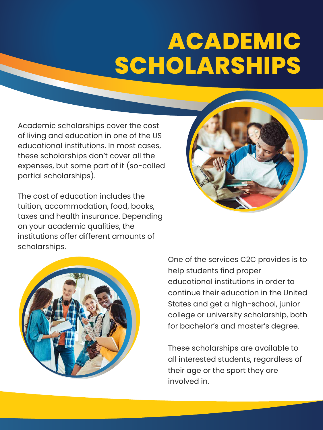Academic scholarships cover the cost of living and education in one of the US educational institutions. In most cases, these scholarships don't cover all the expenses, but some part of it (so-called partial scholarships).

The cost of education includes the tuition, accommodation, food, books, taxes and health insurance. Depending on your academic qualities, the institutions offer different amounts of scholarships.





One of the services C2C provides is to help students find proper educational institutions in order to continue their education in the United States and get a high-school, junior college or university scholarship, both for bachelor's and master's degree.

These scholarships are available to all interested students, regardless of their age or the sport they are involved in.

# **ACADEMIC SCHOLARSHIPS**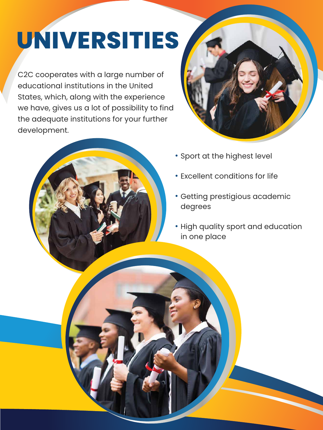C2C cooperates with a large number of educational institutions in the United States, which, along with the experience we have, gives us a lot of possibility to find the adequate institutions for your further development.





- **Sport at the highest level**
- Excellent conditions for life
- Getting prestigious academic degrees
- High quality sport and education in one place



# **UNIVERSITIES**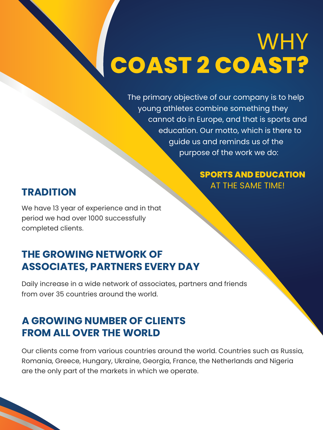The primary objective of our company is to help young athletes combine something they cannot do in Europe, and that is sports and education. Our motto, which is there to guide us and reminds us of the purpose of the work we do:

> **SPORTS AND EDUCATION** AT THE SAME TIME!

# WHY **COAST 2 COAST?**

#### **TRADITION**

### **THE GROWING NETWORK OF ASSOCIATES, PARTNERS EVERY DAY**

#### **A GROWING NUMBER OF CLIENTS FROM ALL OVER THE WORLD**

We have 13 year of experience and in that period we had over 1000 successfully completed clients.

Daily increase in a wide network of associates, partners and friends from over 35 countries around the world.

Our clients come from various countries around the world. Countries such as Russia, Romania, Greece, Hungary, Ukraine, Georgia, France, the Netherlands and Nigeria are the only part of the markets in which we operate.

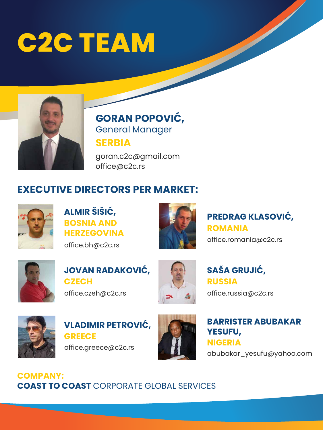# **C2C TEAM**



# **GORAN POPOVIĆ,** General Manager

**SERBIA**

**ALMIR ŠIŠIĆ, BOSNIA AND HERZEGOVINA**

office.bh@c2c.rs



**JOVAN RADAKOVIĆ, CZECH**

office.czeh@c2c.rs



### **VLADIMIR PETROVIĆ, GREECE**

office.greece@c2c.rs



goran.c2c@gmail.com office@c2c.rs

> **PREDRAG KLASOVIĆ, ROMANIA** office.romania@c2c.rs



**SAŠA GRUJIĆ, RUSSIA**

office.russia@c2c.rs



#### **BARRISTER ABUBAKAR YESUFU, NIGERIA**

abubakar\_yesufu@yahoo.com

### **EXECUTIVE DIRECTORS PER MARKET:**



#### **COMPANY: COAST TO COAST** CORPORATE GLOBAL SERVICES